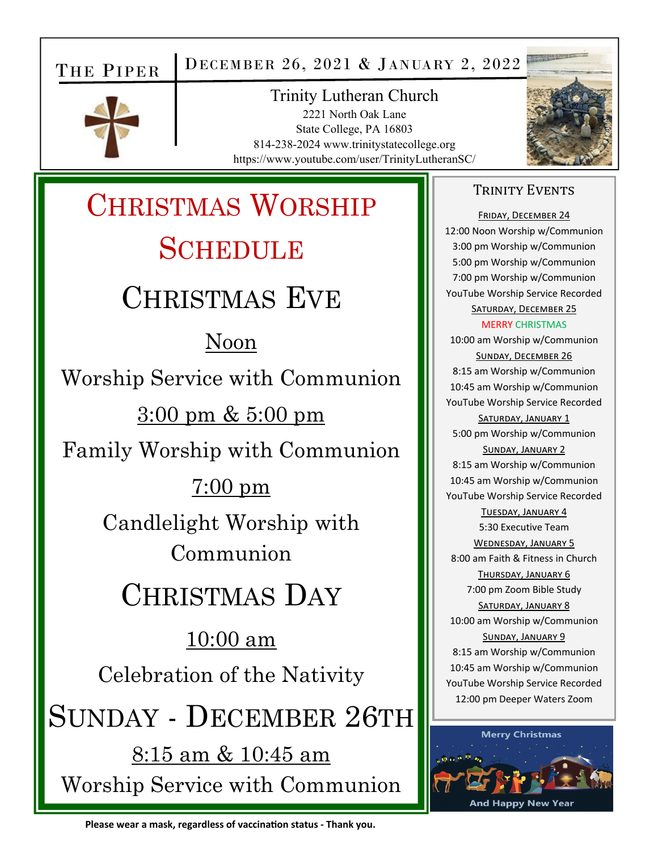## THE PIPER

DECEMBER 26, 2021 & JANUARY 2, 2022



**Trinity Lutheran Church** 2221 North Oak Lane State College, PA 16803 814-238-2024 www.trinitystatecollege.org https://www.youtube.com/user/TrinityLutheranSC/



# **CHRISTMAS WORSHIP SCHEDULE CHRISTMAS EVE**

## Noon

Worship Service with Communion

 $3:00 \text{ pm} \& 5:00 \text{ pm}$ 

Family Worship with Communion

## $7:00 \text{ pm}$

Candlelight Worship with Communion

## **CHRISTMAS DAY**

 $10:00$  am

Celebration of the Nativity

SUNDAY - DECEMBER 26TH

 $8:15$  am  $\&$  10:45 am Worship Service with Communion

#### **TRINITY EVENTS**

FRIDAY, DECEMBER 24 12:00 Noon Worship w/Communion 3:00 pm Worship w/Communion 5:00 pm Worship w/Communion 7:00 pm Worship w/Communion YouTube Worship Service Recorded SATURDAY, DECEMBER 25 **MFRRY CHRISTMAS** 10:00 am Worship w/Communion SUNDAY, DECEMBER 26 8:15 am Worship w/Communion 10:45 am Worship w/Communion YouTube Worship Service Recorded **SATURDAY, JANUARY 1** 5:00 pm Worship w/Communion SUNDAY, JANUARY 2 8:15 am Worship w/Communion 10:45 am Worship w/Communion YouTube Worship Service Recorded TUESDAY, JANUARY 4 5:30 Executive Team **WEDNESDAY, JANUARY 5** 8:00 am Faith & Fitness in Church THURSDAY, JANUARY 6 7:00 pm Zoom Bible Study SATURDAY, JANUARY 8 10:00 am Worship w/Communion SUNDAY, JANUARY 9 8:15 am Worship w/Communion 10:45 am Worship w/Communion YouTube Worship Service Recorded 12:00 pm Deeper Waters Zoom

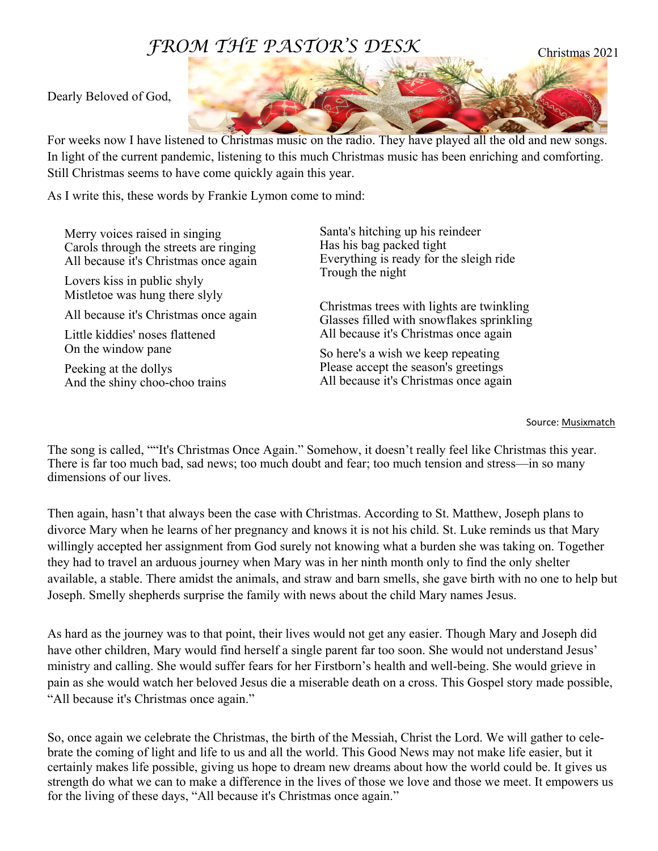## *FROM THE PASTOR'S DESK*

Dearly Beloved of God,

For weeks now I have listened to Christmas music on the radio. They have played all the old and new songs. In light of the current pandemic, listening to this much Christmas music has been enriching and comforting. Still Christmas seems to have come quickly again this year.

As I write this, these words by Frankie Lymon come to mind:

Merry voices raised in singing Carols through the streets are ringing All because it's Christmas once again Lovers kiss in public shyly Mistletoe was hung there slyly All because it's Christmas once again Little kiddies' noses flattened On the window pane Peeking at the dollys And the shiny choo-choo trains Santa's hitching up his reindeer Has his bag packed tight Everything is ready for the sleigh ride Trough the night Christmas trees with lights are twinkling Glasses filled with snowflakes sprinkling All because it's Christmas once again So here's a wish we keep repeating Please accept the season's greetings All because it's Christmas once again

#### Source: Musixmatch

The song is called, ""It's Christmas Once Again." Somehow, it doesn't really feel like Christmas this year. There is far too much bad, sad news; too much doubt and fear; too much tension and stress—in so many dimensions of our lives.

Then again, hasn't that always been the case with Christmas. According to St. Matthew, Joseph plans to divorce Mary when he learns of her pregnancy and knows it is not his child. St. Luke reminds us that Mary willingly accepted her assignment from God surely not knowing what a burden she was taking on. Together they had to travel an arduous journey when Mary was in her ninth month only to find the only shelter available, a stable. There amidst the animals, and straw and barn smells, she gave birth with no one to help but Joseph. Smelly shepherds surprise the family with news about the child Mary names Jesus.

As hard as the journey was to that point, their lives would not get any easier. Though Mary and Joseph did have other children, Mary would find herself a single parent far too soon. She would not understand Jesus' ministry and calling. She would suffer fears for her Firstborn's health and well-being. She would grieve in pain as she would watch her beloved Jesus die a miserable death on a cross. This Gospel story made possible, "All because it's Christmas once again."

So, once again we celebrate the Christmas, the birth of the Messiah, Christ the Lord. We will gather to celebrate the coming of light and life to us and all the world. This Good News may not make life easier, but it certainly makes life possible, giving us hope to dream new dreams about how the world could be. It gives us strength do what we can to make a difference in the lives of those we love and those we meet. It empowers us for the living of these days, "All because it's Christmas once again."

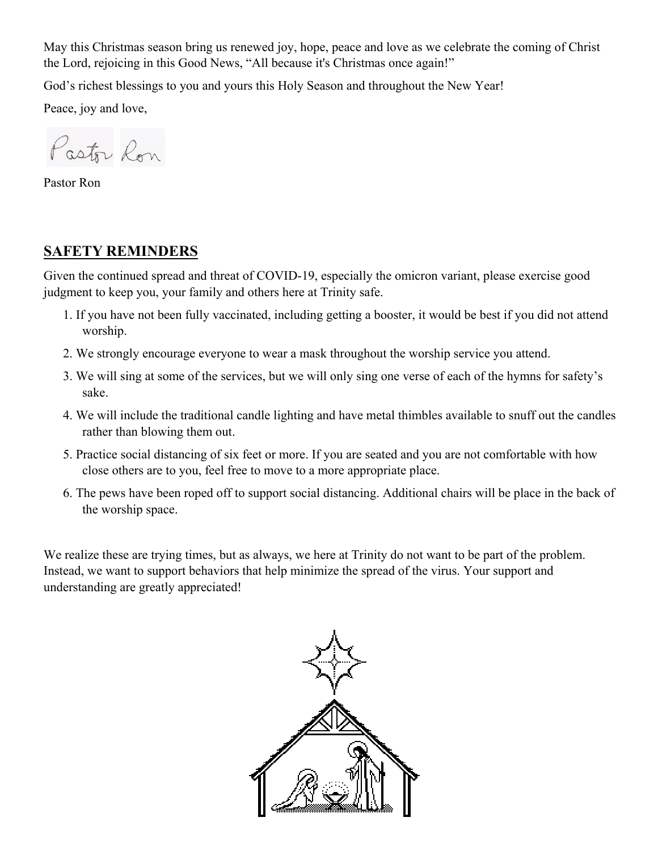May this Christmas season bring us renewed joy, hope, peace and love as we celebrate the coming of Christ the Lord, rejoicing in this Good News, "All because it's Christmas once again!"

God's richest blessings to you and yours this Holy Season and throughout the New Year!

Peace, joy and love,

Pastor Ron

Pastor Ron

#### **SAFETY REMINDERS**

Given the continued spread and threat of COVID-19, especially the omicron variant, please exercise good judgment to keep you, your family and others here at Trinity safe.

- 1. If you have not been fully vaccinated, including getting a booster, it would be best if you did not attend worship.
- 2. We strongly encourage everyone to wear a mask throughout the worship service you attend.
- 3. We will sing at some of the services, but we will only sing one verse of each of the hymns for safety's sake.
- 4. We will include the traditional candle lighting and have metal thimbles available to snuff out the candles rather than blowing them out.
- 5. Practice social distancing of six feet or more. If you are seated and you are not comfortable with how close others are to you, feel free to move to a more appropriate place.
- 6. The pews have been roped off to support social distancing. Additional chairs will be place in the back of the worship space.

We realize these are trying times, but as always, we here at Trinity do not want to be part of the problem. Instead, we want to support behaviors that help minimize the spread of the virus. Your support and understanding are greatly appreciated!

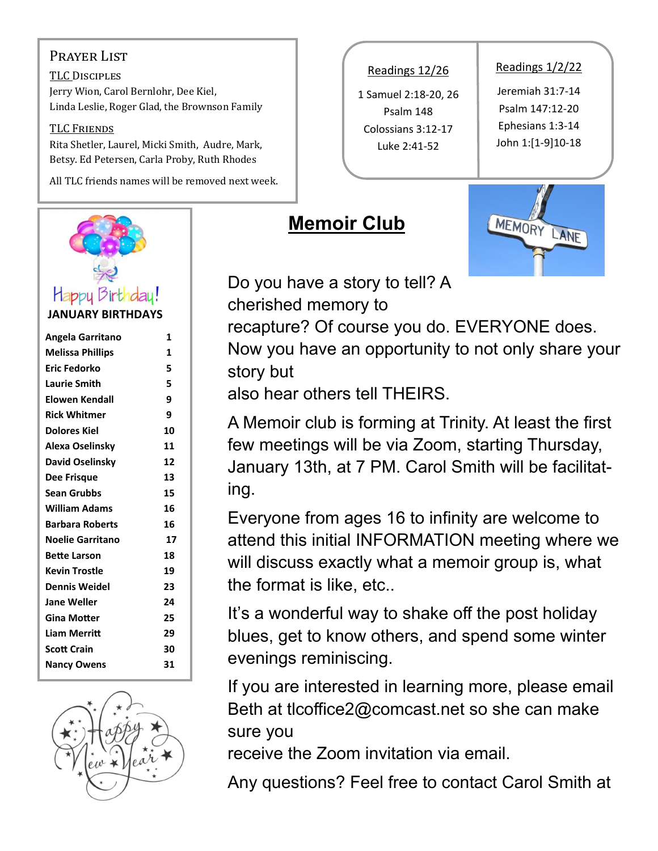#### PRAYER LIST

TLC DISCIPLES Jerry Wion, Carol Bernlohr, Dee Kiel, Linda Leslie, Roger Glad, the Brownson Family

#### TLC FRIENDS

Rita Shetler, Laurel, Micki Smith, Audre, Mark, Betsy. Ed Petersen, Carla Proby, Ruth Rhodes

All TLC friends names will be removed next week.



**JANUARY BIRTHDAYS** 

| Angela Garritano        | 1  |
|-------------------------|----|
| <b>Melissa Phillips</b> | 1  |
| Eric Fedorko            | 5  |
| <b>Laurie Smith</b>     | 5  |
| Elowen Kendall          | 9  |
| <b>Rick Whitmer</b>     | 9  |
| Dolores Kiel            | 10 |
| Alexa Oselinsky         | 11 |
| David Oselinsky         | 12 |
| Dee Frisque             | 13 |
| Sean Grubbs             | 15 |
| <b>William Adams</b>    | 16 |
| <b>Barbara Roberts</b>  | 16 |
| <b>Noelie Garritano</b> | 17 |
| <b>Bette Larson</b>     | 18 |
| <b>Kevin Trostle</b>    | 19 |
| <b>Dennis Weidel</b>    | 23 |
| Jane Weller             | 24 |
| Gina Motter             | 25 |
| Liam Merritt            | 29 |
| <b>Scott Crain</b>      | 30 |
| <b>Nancy Owens</b>      | 31 |
|                         |    |



Readings 12/26

1 Samuel 2:18‐20, 26 Psalm 148 Colossians 3:12‐17 Luke 2:41‐52

#### Readings 1/2/22

Jeremiah 31:7‐14 Psalm 147:12‐20 Ephesians 1:3‐14 John 1:[1‐9]10‐18

## **Memoir Club**



Do you have a story to tell? A cherished memory to

recapture? Of course you do. EVERYONE does.

Now you have an opportunity to not only share your story but

also hear others tell THEIRS.

A Memoir club is forming at Trinity. At least the first few meetings will be via Zoom, starting Thursday, January 13th, at 7 PM. Carol Smith will be facilitating.

Everyone from ages 16 to infinity are welcome to attend this initial INFORMATION meeting where we will discuss exactly what a memoir group is, what the format is like, etc..

It's a wonderful way to shake off the post holiday blues, get to know others, and spend some winter evenings reminiscing.

If you are interested in learning more, please email Beth at tlcoffice2@comcast.net so she can make sure you

receive the Zoom invitation via email.

Any questions? Feel free to contact Carol Smith at